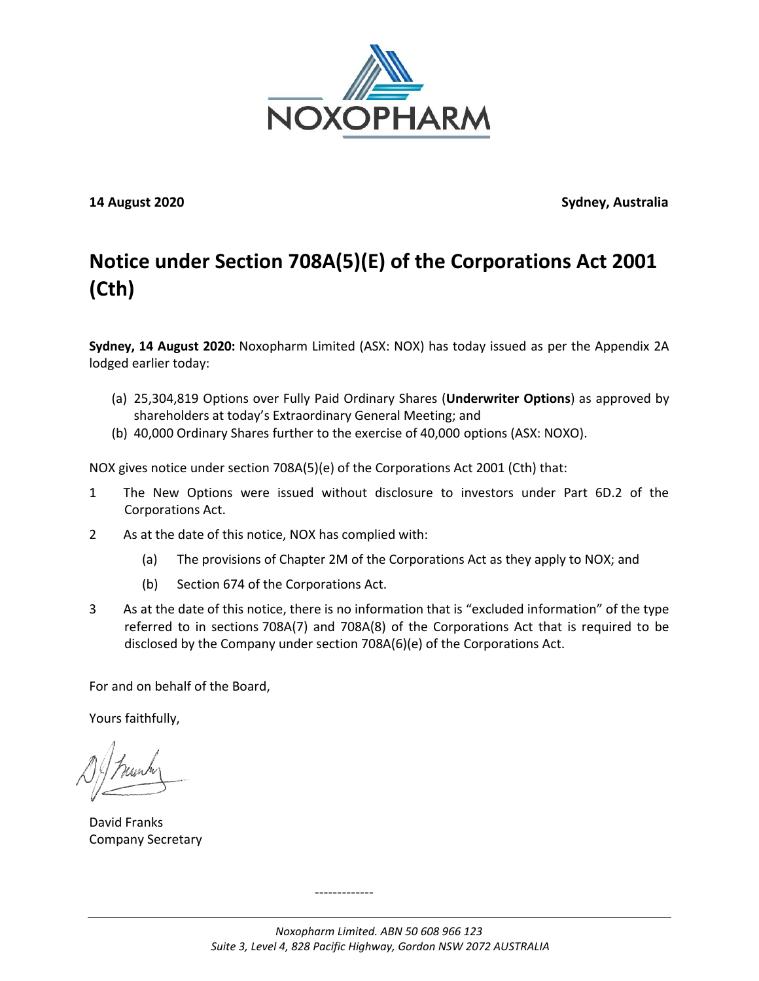

**14 August 2020 Sydney, Australia**

## **Notice under Section 708A(5)(E) of the Corporations Act 2001 (Cth)**

**Sydney, 14 August 2020:** Noxopharm Limited (ASX: NOX) has today issued as per the Appendix 2A lodged earlier today:

- (a) 25,304,819 Options over Fully Paid Ordinary Shares (**Underwriter Options**) as approved by shareholders at today's Extraordinary General Meeting; and
- (b) 40,000 Ordinary Shares further to the exercise of 40,000 options (ASX: NOXO).

NOX gives notice under section 708A(5)(e) of the Corporations Act 2001 (Cth) that:

- 1 The New Options were issued without disclosure to investors under Part 6D.2 of the Corporations Act.
- 2 As at the date of this notice, NOX has complied with:
	- (a) The provisions of Chapter 2M of the Corporations Act as they apply to NOX; and
	- (b) Section 674 of the Corporations Act.
- 3 As at the date of this notice, there is no information that is "excluded information" of the type referred to in sections 708A(7) and 708A(8) of the Corporations Act that is required to be disclosed by the Company under section 708A(6)(e) of the Corporations Act.

For and on behalf of the Board,

Yours faithfully,

David Franks Company Secretary

-------------